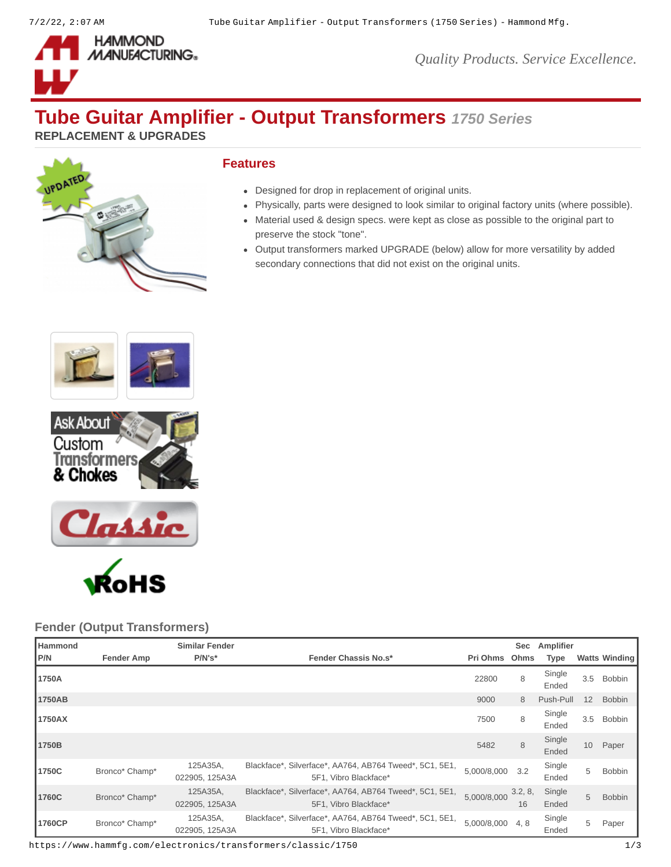

*Quality Products. Service Excellence.*

# **Tube Guitar Amplifier - Output Transformers** *1750 Series*

**REPLACEMENT & UPGRADES**



## **Features**

- Designed for drop in replacement of original units.
- Physically, parts were designed to look similar to original factory units (where possible).
- Material used & design specs. were kept as close as possible to the original part to preserve the stock "tone".
- Output transformers marked UPGRADE (below) allow for more versatility by added secondary connections that did not exist on the original units.







## **Fender (Output Transformers)**

| <b>Hammond</b> |                   | <b>Similar Fender</b>      |                                                                                  |               | Sec           | Amplifier       |     |                      |
|----------------|-------------------|----------------------------|----------------------------------------------------------------------------------|---------------|---------------|-----------------|-----|----------------------|
| P/N            | <b>Fender Amp</b> | $P/N's*$                   | <b>Fender Chassis No.s*</b>                                                      | Pri Ohms Ohms |               | <b>Type</b>     |     | <b>Watts Winding</b> |
| 1750A          |                   |                            |                                                                                  | 22800         | 8             | Single<br>Ended | 3.5 | Bobbin               |
| 1750AB         |                   |                            |                                                                                  | 9000          | 8             | Push-Pull       | 12  | <b>Bobbin</b>        |
| 1750AX         |                   |                            |                                                                                  | 7500          | 8             | Single<br>Ended | 3.5 | <b>Bobbin</b>        |
| 1750B          |                   |                            |                                                                                  | 5482          | 8             | Single<br>Ended | 10  | Paper                |
| 1750C          | Bronco* Champ*    | 125A35A.<br>022905, 125A3A | Blackface*, Silverface*, AA764, AB764 Tweed*, 5C1, 5E1,<br>5F1. Vibro Blackface* | 5,000/8,000   | 3.2           | Single<br>Ended | 5   | <b>Bobbin</b>        |
| 1760C          | Bronco* Champ*    | 125A35A.<br>022905, 125A3A | Blackface*, Silverface*, AA764, AB764 Tweed*, 5C1, 5E1,<br>5F1, Vibro Blackface* | 5,000/8,000   | 3.2, 8,<br>16 | Single<br>Ended | 5   | <b>Bobbin</b>        |
| 1760CP         | Bronco* Champ*    | 125A35A,<br>022905, 125A3A | Blackface*, Silverface*, AA764, AB764 Tweed*, 5C1, 5E1,<br>5F1, Vibro Blackface* | 5,000/8,000   | 4, 8          | Single<br>Ended | 5   | Paper                |

https://www.hammfg.com/electronics/transformers/classic/1750 1/3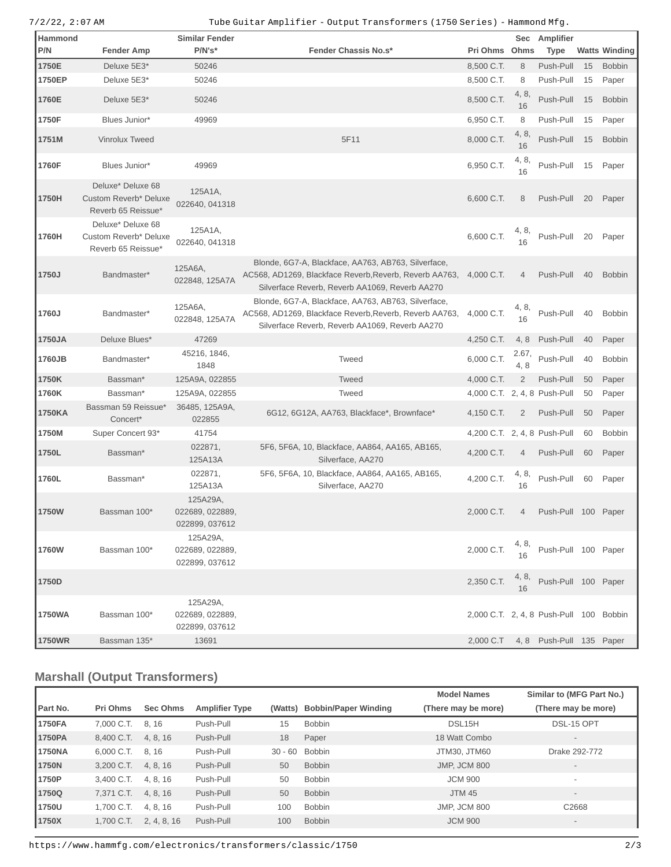#### 7/2/22, 2:07 AM Tube Guitar Amplifier - Output Transformers (1750 Series) - Hammond Mfg.

| Hammond<br>P/N | <b>Fender Amp</b>                                                | Similar Fender<br>$P/N's*$                    | <b>Fender Chassis No.s*</b>                                                                                                                                     | Pri Ohms Ohms                           | <b>Sec</b>     | Amplifier<br>Type                  |    | <b>Watts Winding</b> |
|----------------|------------------------------------------------------------------|-----------------------------------------------|-----------------------------------------------------------------------------------------------------------------------------------------------------------------|-----------------------------------------|----------------|------------------------------------|----|----------------------|
| 1750E          | Deluxe 5E3*                                                      | 50246                                         |                                                                                                                                                                 | 8,500 C.T.                              | 8              | Push-Pull                          | 15 | <b>Bobbin</b>        |
| 1750EP         | Deluxe 5E3*                                                      | 50246                                         |                                                                                                                                                                 | 8,500 C.T.                              | 8              | Push-Pull                          | 15 | Paper                |
| 1760E          | Deluxe 5E3*                                                      | 50246                                         |                                                                                                                                                                 | 8,500 C.T.                              | 4, 8,<br>16    | Push-Pull                          | 15 | <b>Bobbin</b>        |
| 1750F          | Blues Junior*                                                    | 49969                                         |                                                                                                                                                                 | 6,950 C.T.                              | 8              | Push-Pull                          | 15 | Paper                |
| 1751M          | Vinrolux Tweed                                                   |                                               | 5F11                                                                                                                                                            | 8,000 C.T.                              | 4, 8,<br>16    | Push-Pull                          | 15 | <b>Bobbin</b>        |
| 1760F          | Blues Junior*                                                    | 49969                                         |                                                                                                                                                                 | 6,950 C.T.                              | 4, 8,<br>16    | Push-Pull                          | 15 | Paper                |
| 1750H          | Deluxe* Deluxe 68<br>Custom Reverb* Deluxe<br>Reverb 65 Reissue* | 125A1A,<br>022640, 041318                     |                                                                                                                                                                 | 6,600 C.T.                              | 8              | Push-Pull                          | 20 | Paper                |
| 1760H          | Deluxe* Deluxe 68<br>Custom Reverb* Deluxe<br>Reverb 65 Reissue* | 125A1A,<br>022640, 041318                     |                                                                                                                                                                 | 6,600 C.T.                              | 4, 8,<br>16    | Push-Pull                          | 20 | Paper                |
| 1750J          | Bandmaster*                                                      | 125A6A,<br>022848, 125A7A                     | Blonde, 6G7-A, Blackface, AA763, AB763, Silverface,<br>AC568, AD1269, Blackface Reverb, Reverb, Reverb AA763,<br>Silverface Reverb, Reverb AA1069, Reverb AA270 | 4,000 C.T.                              | 4              | Push-Pull                          | 40 | <b>Bobbin</b>        |
| 1760J          | Bandmaster*                                                      | 125A6A,<br>022848, 125A7A                     | Blonde, 6G7-A, Blackface, AA763, AB763, Silverface,<br>AC568, AD1269, Blackface Reverb, Reverb, Reverb AA763,<br>Silverface Reverb, Reverb AA1069, Reverb AA270 | 4,000 C.T.                              | 4, 8,<br>16    | Push-Pull                          | 40 | <b>Bobbin</b>        |
| 1750JA         | Deluxe Blues*                                                    | 47269                                         |                                                                                                                                                                 | 4,250 C.T.                              | 4, 8           | Push-Pull                          | 40 | Paper                |
| 1760JB         | Bandmaster*                                                      | 45216, 1846,<br>1848                          | Tweed                                                                                                                                                           | 6,000 C.T.                              | 2.67,<br>4, 8  | Push-Pull                          | 40 | <b>Bobbin</b>        |
| 1750K          | Bassman*                                                         | 125A9A, 022855                                | <b>Tweed</b>                                                                                                                                                    | 4,000 C.T.                              | $\overline{c}$ | Push-Pull                          | 50 | Paper                |
| 1760K          | Bassman*                                                         | 125A9A, 022855                                | Tweed                                                                                                                                                           | 4,000 C.T. 2, 4, 8 Push-Pull            |                |                                    | 50 | Paper                |
| 1750KA         | Bassman 59 Reissue*<br>Concert*                                  | 36485, 125A9A,<br>022855                      | 6G12, 6G12A, AA763, Blackface*, Brownface*                                                                                                                      | 4,150 C.T.                              | $\overline{c}$ | Push-Pull                          | 50 | Paper                |
| 1750M          | Super Concert 93*                                                | 41754                                         |                                                                                                                                                                 | 4,200 C.T. 2, 4, 8 Push-Pull            |                |                                    | 60 | <b>Bobbin</b>        |
| 1750L          | Bassman*                                                         | 022871,<br>125A13A                            | 5F6, 5F6A, 10, Blackface, AA864, AA165, AB165,<br>Silverface, AA270                                                                                             | 4,200 C.T.                              | 4              | Push-Pull                          | 60 | Paper                |
| 1760L          | Bassman*                                                         | 022871,<br>125A13A                            | 5F6, 5F6A, 10, Blackface, AA864, AA165, AB165,<br>Silverface, AA270                                                                                             | 4,200 C.T.                              | 4, 8,<br>16    | Push-Pull                          | 60 | Paper                |
| 1750W          | Bassman 100*                                                     | 125A29A,<br>022689, 022889,<br>022899, 037612 |                                                                                                                                                                 | 2,000 C.T.                              | 4              | Push-Pull 100 Paper                |    |                      |
| 1760W          | Bassman 100*                                                     | 125A29A,<br>022689, 022889,<br>022899, 037612 |                                                                                                                                                                 | 2,000 C.T.                              | 4, 8,<br>16    | Push-Pull 100 Paper                |    |                      |
| 1750D          |                                                                  |                                               |                                                                                                                                                                 | 2,350 C.T.                              | 4, 8,<br>16    | Push-Pull 100 Paper                |    |                      |
| 1750WA         | Bassman 100*                                                     | 125A29A,<br>022689, 022889,<br>022899, 037612 |                                                                                                                                                                 | 2,000 C.T. 2, 4, 8 Push-Pull 100 Bobbin |                |                                    |    |                      |
| 1750WR         | Bassman 135*                                                     | 13691                                         |                                                                                                                                                                 |                                         |                | 2,000 C.T 4, 8 Push-Pull 135 Paper |    |                      |

# **Marshall (Output Transformers)**

|          |            |                 |                       |           |                             | <b>Model Names</b>  | Similar to (MFG Part No.) |
|----------|------------|-----------------|-----------------------|-----------|-----------------------------|---------------------|---------------------------|
| Part No. | Pri Ohms   | <b>Sec Ohms</b> | <b>Amplifier Type</b> | (Watts)   | <b>Bobbin/Paper Winding</b> | (There may be more) | (There may be more)       |
| 1750FA   | 7.000 C.T. | 8.16            | Push-Pull             | 15        | <b>Bobbin</b>               | DSL15H              | DSL-15 OPT                |
| 1750PA   | 8.400 C.T. | 4, 8, 16        | Push-Pull             | 18        | Paper                       | 18 Watt Combo       | $\overline{\phantom{a}}$  |
| 1750NA   | 6.000 C.T. | 8.16            | Push-Pull             | $30 - 60$ | <b>Bobbin</b>               | JTM30, JTM60        | Drake 292-772             |
| 1750N    | 3.200 C.T. | 4.8.16          | Push-Pull             | 50        | <b>Bobbin</b>               | <b>JMP. JCM 800</b> |                           |
| 1750P    | 3.400 C.T. | 4.8.16          | Push-Pull             | 50        | <b>Bobbin</b>               | <b>JCM 900</b>      |                           |
| 1750Q    | 7.371 C.T. | 4, 8, 16        | Push-Pull             | 50        | <b>Bobbin</b>               | <b>JTM 45</b>       | $\overline{\phantom{a}}$  |
| 1750U    | 1.700 C.T. | 4, 8, 16        | Push-Pull             | 100       | <b>Bobbin</b>               | <b>JMP, JCM 800</b> | C2668                     |
| 1750X    | 1.700 C.T. | 2, 4, 8, 16     | Push-Pull             | 100       | <b>Bobbin</b>               | <b>JCM 900</b>      | $\overline{\phantom{a}}$  |